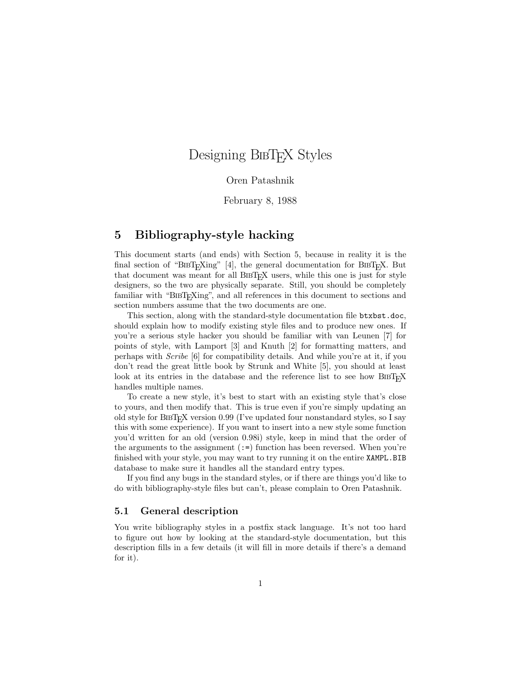# Designing BIBTEX Styles

#### Oren Patashnik

February 8, 1988

### 5 Bibliography-style hacking

This document starts (and ends) with Section 5, because in reality it is the final section of "BIBT<sub>E</sub>Xing" [4], the general documentation for BIBT<sub>E</sub>X. But that document was meant for all BIBT<sub>E</sub>X users, while this one is just for style designers, so the two are physically separate. Still, you should be completely familiar with "BIBT<sub>E</sub>Xing", and all references in this document to sections and section numbers assume that the two documents are one.

This section, along with the standard-style documentation file btxbst.doc, should explain how to modify existing style files and to produce new ones. If you're a serious style hacker you should be familiar with van Leunen [7] for points of style, with Lamport [3] and Knuth [2] for formatting matters, and perhaps with Scribe [6] for compatibility details. And while you're at it, if you don't read the great little book by Strunk and White [5], you should at least look at its entries in the database and the reference list to see how  $BIBT<sub>F</sub>X$ handles multiple names.

To create a new style, it's best to start with an existing style that's close to yours, and then modify that. This is true even if you're simply updating an old style for  $BIBT<sub>F</sub>X$  version 0.99 (I've updated four nonstandard styles, so I say this with some experience). If you want to insert into a new style some function you'd written for an old (version 0.98i) style, keep in mind that the order of the arguments to the assignment  $(:=)$  function has been reversed. When you're finished with your style, you may want to try running it on the entire XAMPL.BIB database to make sure it handles all the standard entry types.

If you find any bugs in the standard styles, or if there are things you'd like to do with bibliography-style files but can't, please complain to Oren Patashnik.

#### 5.1 General description

You write bibliography styles in a postfix stack language. It's not too hard to figure out how by looking at the standard-style documentation, but this description fills in a few details (it will fill in more details if there's a demand for it).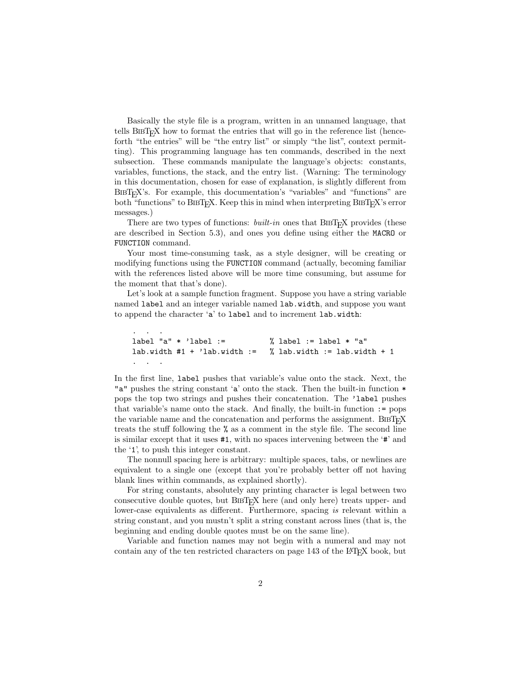Basically the style file is a program, written in an unnamed language, that tells  $BIBT<sub>F</sub>X$  how to format the entries that will go in the reference list (henceforth "the entries" will be "the entry list" or simply "the list", context permitting). This programming language has ten commands, described in the next subsection. These commands manipulate the language's objects: constants, variables, functions, the stack, and the entry list. (Warning: The terminology in this documentation, chosen for ease of explanation, is slightly different from  $BIBT<sub>F</sub>X$ 's. For example, this documentation's "variables" and "functions" are both "functions" to BIBT<sub>E</sub>X. Keep this in mind when interpreting BIBT<sub>E</sub>X's error messages.)

There are two types of functions: *built-in* ones that  $BIBT$ <sub>EX</sub> provides (these are described in Section 5.3), and ones you define using either the MACRO or FUNCTION command.

Your most time-consuming task, as a style designer, will be creating or modifying functions using the FUNCTION command (actually, becoming familiar with the references listed above will be more time consuming, but assume for the moment that that's done).

Let's look at a sample function fragment. Suppose you have a string variable named label and an integer variable named lab.width, and suppose you want to append the character 'a' to label and to increment lab.width:

```
\mathbf{.} . \mathbf{.}label "a" * 'label := \% label := label * "a"
lab.width #1 + 'lab.width := % lab.width := lab.width + 1
```
. . .

In the first line, label pushes that variable's value onto the stack. Next, the "a" pushes the string constant 'a' onto the stack. Then the built-in function  $*$ pops the top two strings and pushes their concatenation. The 'label pushes that variable's name onto the stack. And finally, the built-in function := pops the variable name and the concatenation and performs the assignment.  $BIBT<sub>F</sub>X$ treats the stuff following the % as a comment in the style file. The second line is similar except that it uses #1, with no spaces intervening between the '#' and the '1', to push this integer constant.

The nonnull spacing here is arbitrary: multiple spaces, tabs, or newlines are equivalent to a single one (except that you're probably better off not having blank lines within commands, as explained shortly).

For string constants, absolutely any printing character is legal between two consecutive double quotes, but BIBT<sub>E</sub>X here (and only here) treats upper- and lower-case equivalents as different. Furthermore, spacing is relevant within a string constant, and you mustn't split a string constant across lines (that is, the beginning and ending double quotes must be on the same line).

Variable and function names may not begin with a numeral and may not contain any of the ten restricted characters on page 143 of the LAT<sub>E</sub>X book, but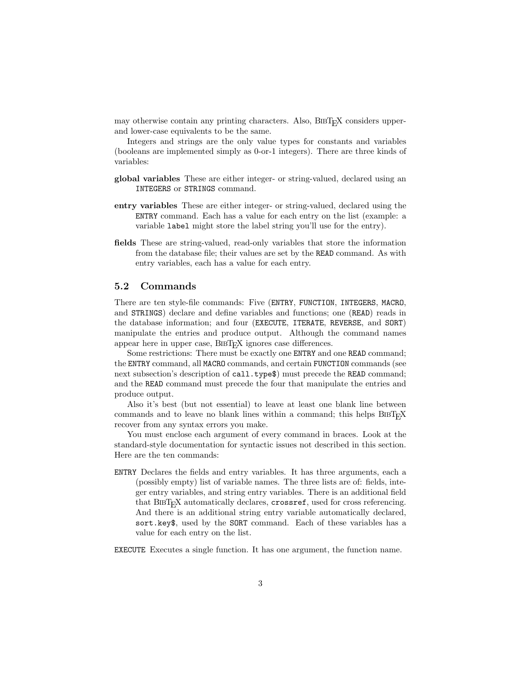may otherwise contain any printing characters. Also, BIBT<sub>E</sub>X considers upperand lower-case equivalents to be the same.

Integers and strings are the only value types for constants and variables (booleans are implemented simply as 0-or-1 integers). There are three kinds of variables:

- global variables These are either integer- or string-valued, declared using an INTEGERS or STRINGS command.
- entry variables These are either integer- or string-valued, declared using the ENTRY command. Each has a value for each entry on the list (example: a variable label might store the label string you'll use for the entry).
- fields These are string-valued, read-only variables that store the information from the database file; their values are set by the READ command. As with entry variables, each has a value for each entry.

#### 5.2 Commands

There are ten style-file commands: Five (ENTRY, FUNCTION, INTEGERS, MACRO, and STRINGS) declare and define variables and functions; one (READ) reads in the database information; and four (EXECUTE, ITERATE, REVERSE, and SORT) manipulate the entries and produce output. Although the command names appear here in upper case, BIBT<sub>F</sub>X ignores case differences.

Some restrictions: There must be exactly one ENTRY and one READ command; the ENTRY command, all MACRO commands, and certain FUNCTION commands (see next subsection's description of call.type\$) must precede the READ command; and the READ command must precede the four that manipulate the entries and produce output.

Also it's best (but not essential) to leave at least one blank line between commands and to leave no blank lines within a command; this helps  $BIBT<sub>F</sub>X$ recover from any syntax errors you make.

You must enclose each argument of every command in braces. Look at the standard-style documentation for syntactic issues not described in this section. Here are the ten commands:

ENTRY Declares the fields and entry variables. It has three arguments, each a (possibly empty) list of variable names. The three lists are of: fields, integer entry variables, and string entry variables. There is an additional field that BIBT<sub>E</sub>X automatically declares, crossref, used for cross referencing. And there is an additional string entry variable automatically declared, sort.key\$, used by the SORT command. Each of these variables has a value for each entry on the list.

EXECUTE Executes a single function. It has one argument, the function name.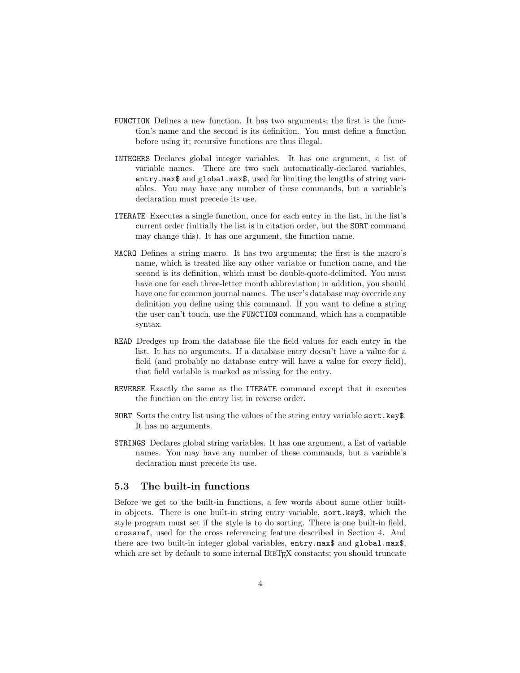- FUNCTION Defines a new function. It has two arguments; the first is the function's name and the second is its definition. You must define a function before using it; recursive functions are thus illegal.
- INTEGERS Declares global integer variables. It has one argument, a list of variable names. There are two such automatically-declared variables, entry.max\$ and global.max\$, used for limiting the lengths of string variables. You may have any number of these commands, but a variable's declaration must precede its use.
- ITERATE Executes a single function, once for each entry in the list, in the list's current order (initially the list is in citation order, but the SORT command may change this). It has one argument, the function name.
- MACRO Defines a string macro. It has two arguments; the first is the macro's name, which is treated like any other variable or function name, and the second is its definition, which must be double-quote-delimited. You must have one for each three-letter month abbreviation; in addition, you should have one for common journal names. The user's database may override any definition you define using this command. If you want to define a string the user can't touch, use the FUNCTION command, which has a compatible syntax.
- READ Dredges up from the database file the field values for each entry in the list. It has no arguments. If a database entry doesn't have a value for a field (and probably no database entry will have a value for every field), that field variable is marked as missing for the entry.
- REVERSE Exactly the same as the ITERATE command except that it executes the function on the entry list in reverse order.
- SORT Sorts the entry list using the values of the string entry variable sort.key\$. It has no arguments.
- STRINGS Declares global string variables. It has one argument, a list of variable names. You may have any number of these commands, but a variable's declaration must precede its use.

#### 5.3 The built-in functions

Before we get to the built-in functions, a few words about some other builtin objects. There is one built-in string entry variable, sort.key\$, which the style program must set if the style is to do sorting. There is one built-in field, crossref, used for the cross referencing feature described in Section 4. And there are two built-in integer global variables, entry.max\$ and global.max\$, which are set by default to some internal BIBT<sub>E</sub>X constants; you should truncate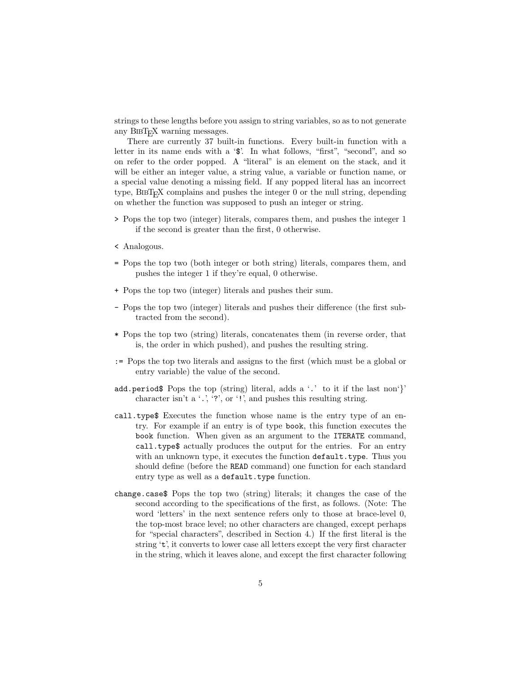strings to these lengths before you assign to string variables, so as to not generate any BIBT<sub>E</sub>X warning messages.

There are currently 37 built-in functions. Every built-in function with a letter in its name ends with a ' $\$ '. In what follows, "first", "second", and so on refer to the order popped. A "literal" is an element on the stack, and it will be either an integer value, a string value, a variable or function name, or a special value denoting a missing field. If any popped literal has an incorrect type,  $BIBT<sub>F</sub>X$  complains and pushes the integer 0 or the null string, depending on whether the function was supposed to push an integer or string.

- > Pops the top two (integer) literals, compares them, and pushes the integer 1 if the second is greater than the first, 0 otherwise.
- < Analogous.
- = Pops the top two (both integer or both string) literals, compares them, and pushes the integer 1 if they're equal, 0 otherwise.
- + Pops the top two (integer) literals and pushes their sum.
- Pops the top two (integer) literals and pushes their difference (the first subtracted from the second).
- \* Pops the top two (string) literals, concatenates them (in reverse order, that is, the order in which pushed), and pushes the resulting string.
- := Pops the top two literals and assigns to the first (which must be a global or entry variable) the value of the second.
- add.period\$ Pops the top (string) literal, adds a '.' to it if the last non'}' character isn't a  $\cdot$ ,  $\cdot$ ,  $\cdot$ ?', or  $\cdot$ !', and pushes this resulting string.
- call.type\$ Executes the function whose name is the entry type of an entry. For example if an entry is of type book, this function executes the book function. When given as an argument to the ITERATE command, call.type\$ actually produces the output for the entries. For an entry with an unknown type, it executes the function  $\texttt{default-type}.$  Thus you should define (before the READ command) one function for each standard entry type as well as a default.type function.
- change.case\$ Pops the top two (string) literals; it changes the case of the second according to the specifications of the first, as follows. (Note: The word 'letters' in the next sentence refers only to those at brace-level 0, the top-most brace level; no other characters are changed, except perhaps for "special characters", described in Section 4.) If the first literal is the string 't', it converts to lower case all letters except the very first character in the string, which it leaves alone, and except the first character following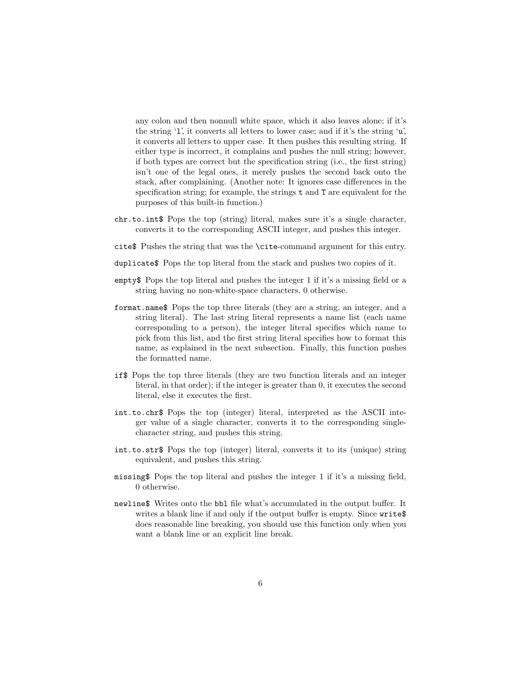any colon and then nonnull white space, which it also leaves alone; if it's the string 'l', it converts all letters to lower case; and if it's the string 'u', it converts all letters to upper case. It then pushes this resulting string. If either type is incorrect, it complains and pushes the null string; however, if both types are correct but the specification string (i.e., the first string) isn't one of the legal ones, it merely pushes the second back onto the stack, after complaining. (Another note: It ignores case differences in the specification string; for example, the strings t and T are equivalent for the purposes of this built-in function.)

- chr.to.int\$ Pops the top (string) literal, makes sure it's a single character, converts it to the corresponding ASCII integer, and pushes this integer.
- cite\$ Pushes the string that was the \cite-command argument for this entry.
- duplicate\$ Pops the top literal from the stack and pushes two copies of it.
- empty\$ Pops the top literal and pushes the integer 1 if it's a missing field or a string having no non-white-space characters, 0 otherwise.
- format.name\$ Pops the top three literals (they are a string, an integer, and a string literal). The last string literal represents a name list (each name corresponding to a person), the integer literal specifies which name to pick from this list, and the first string literal specifies how to format this name, as explained in the next subsection. Finally, this function pushes the formatted name.
- if\$ Pops the top three literals (they are two function literals and an integer literal, in that order); if the integer is greater than 0, it executes the second literal, else it executes the first.
- int.to.chr\$ Pops the top (integer) literal, interpreted as the ASCII integer value of a single character, converts it to the corresponding singlecharacter string, and pushes this string.
- int.to.str\$ Pops the top (integer) literal, converts it to its (unique) string equivalent, and pushes this string.
- missing\$ Pops the top literal and pushes the integer 1 if it's a missing field, 0 otherwise.
- newline\$ Writes onto the bbl file what's accumulated in the output buffer. It writes a blank line if and only if the output buffer is empty. Since write\$ does reasonable line breaking, you should use this function only when you want a blank line or an explicit line break.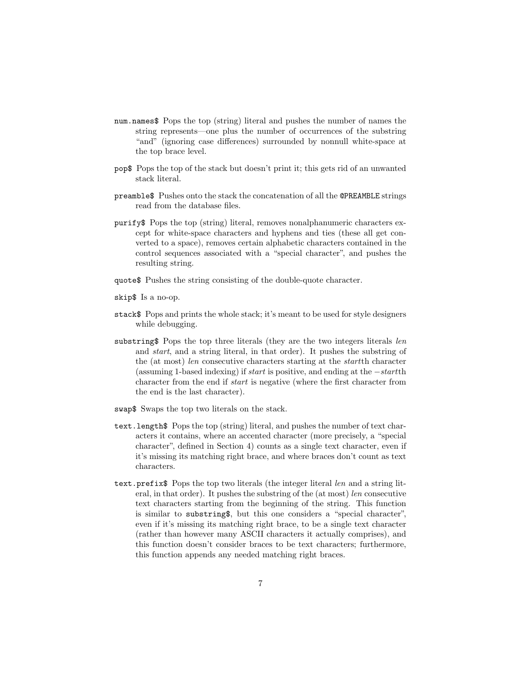- num.names\$ Pops the top (string) literal and pushes the number of names the string represents—one plus the number of occurrences of the substring "and" (ignoring case differences) surrounded by nonnull white-space at the top brace level.
- pop\$ Pops the top of the stack but doesn't print it; this gets rid of an unwanted stack literal.
- preamble\$ Pushes onto the stack the concatenation of all the @PREAMBLE strings read from the database files.
- purify\$ Pops the top (string) literal, removes nonalphanumeric characters except for white-space characters and hyphens and ties (these all get converted to a space), removes certain alphabetic characters contained in the control sequences associated with a "special character", and pushes the resulting string.
- quote\$ Pushes the string consisting of the double-quote character.
- skip\$ Is a no-op.
- stack\$ Pops and prints the whole stack; it's meant to be used for style designers while debugging.
- substring\$ Pops the top three literals (they are the two integers literals len and start, and a string literal, in that order). It pushes the substring of the (at most) len consecutive characters starting at the startth character (assuming 1-based indexing) if start is positive, and ending at the −startth character from the end if start is negative (where the first character from the end is the last character).
- swap\$ Swaps the top two literals on the stack.
- text.length\$ Pops the top (string) literal, and pushes the number of text characters it contains, where an accented character (more precisely, a "special character", defined in Section 4) counts as a single text character, even if it's missing its matching right brace, and where braces don't count as text characters.
- text.prefix\$ Pops the top two literals (the integer literal len and a string literal, in that order). It pushes the substring of the (at most) len consecutive text characters starting from the beginning of the string. This function is similar to substring\$, but this one considers a "special character", even if it's missing its matching right brace, to be a single text character (rather than however many ASCII characters it actually comprises), and this function doesn't consider braces to be text characters; furthermore, this function appends any needed matching right braces.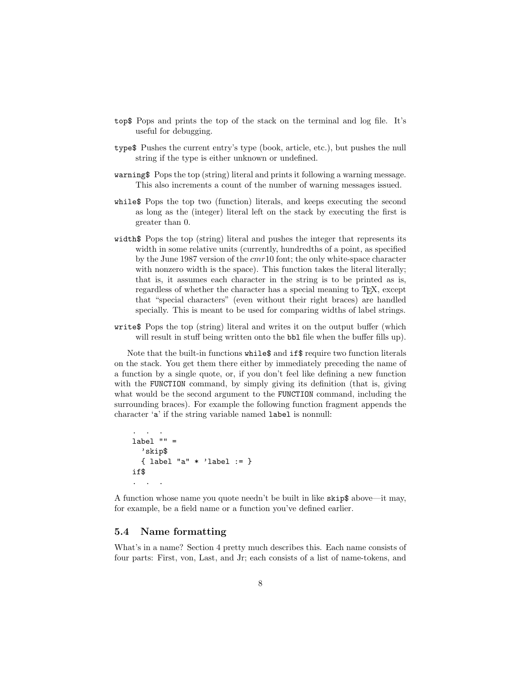- top\$ Pops and prints the top of the stack on the terminal and log file. It's useful for debugging.
- type\$ Pushes the current entry's type (book, article, etc.), but pushes the null string if the type is either unknown or undefined.
- warning\$ Pops the top (string) literal and prints it following a warning message. This also increments a count of the number of warning messages issued.
- while\$ Pops the top two (function) literals, and keeps executing the second as long as the (integer) literal left on the stack by executing the first is greater than 0.
- width\$ Pops the top (string) literal and pushes the integer that represents its width in some relative units (currently, hundredths of a point, as specified by the June 1987 version of the cmr10 font; the only white-space character with nonzero width is the space). This function takes the literal literally; that is, it assumes each character in the string is to be printed as is, regardless of whether the character has a special meaning to T<sub>E</sub>X, except that "special characters" (even without their right braces) are handled specially. This is meant to be used for comparing widths of label strings.
- write\$ Pops the top (string) literal and writes it on the output buffer (which will result in stuff being written onto the bbl file when the buffer fills up).

Note that the built-in functions while\$ and if\$ require two function literals on the stack. You get them there either by immediately preceding the name of a function by a single quote, or, if you don't feel like defining a new function with the FUNCTION command, by simply giving its definition (that is, giving what would be the second argument to the FUNCTION command, including the surrounding braces). For example the following function fragment appends the character 'a' if the string variable named label is nonnull:

```
\overline{\phantom{a}}.
label " " ='skip$
   { label "a" * 'label := }
if$
. . .
```
A function whose name you quote needn't be built in like skip\$ above—it may, for example, be a field name or a function you've defined earlier.

#### 5.4 Name formatting

What's in a name? Section 4 pretty much describes this. Each name consists of four parts: First, von, Last, and Jr; each consists of a list of name-tokens, and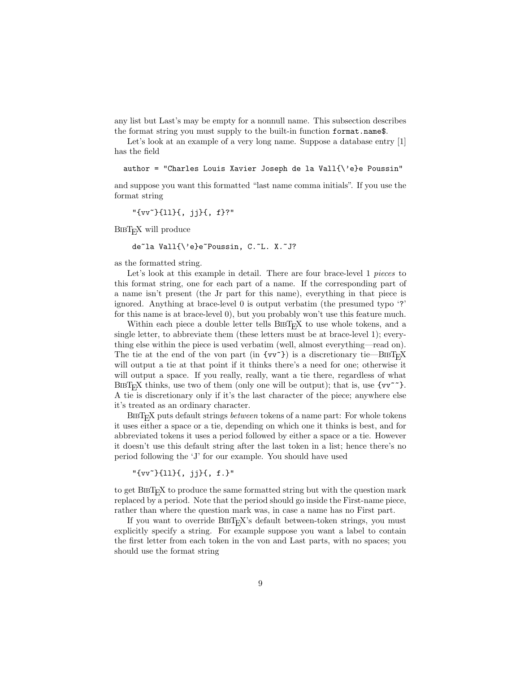any list but Last's may be empty for a nonnull name. This subsection describes the format string you must supply to the built-in function format.name\$.

Let's look at an example of a very long name. Suppose a database entry [1] has the field

author = "Charles Louis Xavier Joseph de la Vall{\'e}e Poussin"

and suppose you want this formatted "last name comma initials". If you use the format string

"{vv~}{ll}{, jj}{, f}?"

BIBT<sub>EX</sub> will produce

de~la Vall{\'e}e~Poussin, C.~L. X.~J?

as the formatted string.

Let's look at this example in detail. There are four brace-level 1 pieces to this format string, one for each part of a name. If the corresponding part of a name isn't present (the Jr part for this name), everything in that piece is ignored. Anything at brace-level 0 is output verbatim (the presumed typo '?' for this name is at brace-level 0), but you probably won't use this feature much.

Within each piece a double letter tells  $BIBT<sub>F</sub>X$  to use whole tokens, and a single letter, to abbreviate them (these letters must be at brace-level 1); everything else within the piece is used verbatim (well, almost everything—read on). The tie at the end of the von part (in  $\{vv^*\}$ ) is a discretionary tie—BIBT<sub>E</sub>X will output a tie at that point if it thinks there's a need for one; otherwise it will output a space. If you really, really, want a tie there, regardless of what BIBT<sub>E</sub>X thinks, use two of them (only one will be output); that is, use  $\{vv^{\sim}\}$ . A tie is discretionary only if it's the last character of the piece; anywhere else it's treated as an ordinary character.

BIBT<sub>E</sub>X puts default strings *between* tokens of a name part: For whole tokens it uses either a space or a tie, depending on which one it thinks is best, and for abbreviated tokens it uses a period followed by either a space or a tie. However it doesn't use this default string after the last token in a list; hence there's no period following the 'J' for our example. You should have used

"{vv~}{ll}{, jj}{, f.}"

to get BIBT<sub>E</sub>X to produce the same formatted string but with the question mark replaced by a period. Note that the period should go inside the First-name piece, rather than where the question mark was, in case a name has no First part.

If you want to override BIBT<sub>EX</sub>'s default between-token strings, you must explicitly specify a string. For example suppose you want a label to contain the first letter from each token in the von and Last parts, with no spaces; you should use the format string